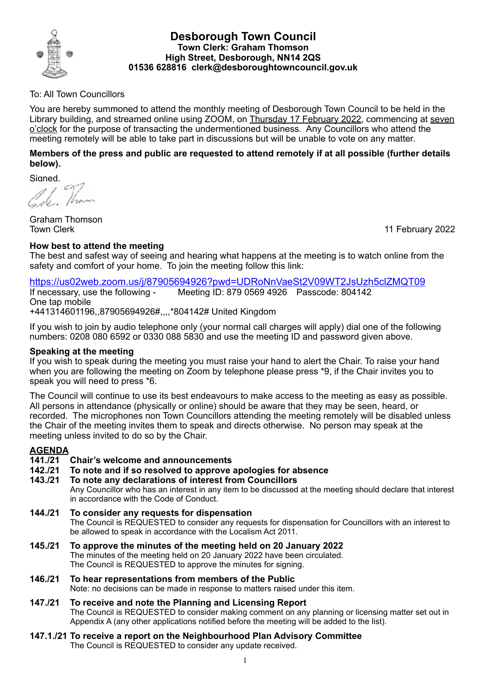

## **Desborough Town Council Town Clerk: Graham Thomson High Street, Desborough, NN14 2QS 01536 628816 clerk@desboroughtowncouncil.gov.uk**

# To: All Town Councillors

You are hereby summoned to attend the monthly meeting of Desborough Town Council to be held in the Library building, and streamed online using ZOOM, on Thursday 17 February 2022, commencing at seven o'clock for the purpose of transacting the undermentioned business. Any Councillors who attend the meeting remotely will be able to take part in discussions but will be unable to vote on any matter.

## **Members of the press and public are requested to attend remotely if at all possible (further details below).**

Signed.

C)

Graham Thomson

11 February 2022

# **How best to attend the meeting**

The best and safest way of seeing and hearing what happens at the meeting is to watch online from the safety and comfort of your home. To join the meeting follow this link:

# https://us02web.zoom.us/j/87905694926?pwd=UDRoNnVaeSt2V09WT2JsUzh5clZMQT09

If necessary, use the following - Meeting ID: 879 0569 4926 Passcode: 804142 One tap mobile +441314601196,,87905694926#,,,,\*804142# United Kingdom

If you wish to join by audio telephone only (your normal call charges will apply) dial one of the following numbers: 0208 080 6592 or 0330 088 5830 and use the meeting ID and password given above.

# **Speaking at the meeting**

If you wish to speak during the meeting you must raise your hand to alert the Chair. To raise your hand when you are following the meeting on Zoom by telephone please press \*9, if the Chair invites you to speak you will need to press \*6.

The Council will continue to use its best endeavours to make access to the meeting as easy as possible. All persons in attendance (physically or online) should be aware that they may be seen, heard, or recorded. The microphones non Town Councillors attending the meeting remotely will be disabled unless the Chair of the meeting invites them to speak and directs otherwise. No person may speak at the meeting unless invited to do so by the Chair.

# **AGENDA**

# **141./21 Chair's welcome and announcements**

- **142./21 To note and if so resolved to approve apologies for absence**
- **143./21 To note any declarations of interest from Councillors** Any Councillor who has an interest in any item to be discussed at the meeting should declare that interest in accordance with the Code of Conduct.
- **144./21 To consider any requests for dispensation** The Council is REQUESTED to consider any requests for dispensation for Councillors with an interest to be allowed to speak in accordance with the Localism Act 2011.
- **145./21 To approve the minutes of the meeting held on 20 January 2022** The minutes of the meeting held on 20 January 2022 have been circulated. The Council is REQUESTED to approve the minutes for signing.
- **146./21 To hear representations from members of the Public**  Note: no decisions can be made in response to matters raised under this item.

## **147./21 To receive and note the Planning and Licensing Report** The Council is REQUESTED to consider making comment on any planning or licensing matter set out in Appendix A (any other applications notified before the meeting will be added to the list).

# **147.1./21 To receive a report on the Neighbourhood Plan Advisory Committee**

The Council is REQUESTED to consider any update received.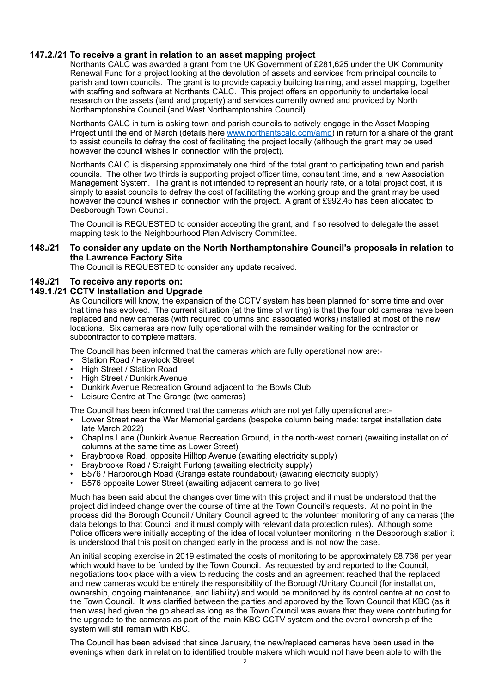#### **147.2./21 To receive a grant in relation to an asset mapping project**

Northants CALC was awarded a grant from the UK Government of £281,625 under the UK Community Renewal Fund for a project looking at the devolution of assets and services from principal councils to parish and town councils. The grant is to provide capacity building training, and asset mapping, together with staffing and software at Northants CALC. This project offers an opportunity to undertake local research on the assets (land and property) and services currently owned and provided by North Northamptonshire Council (and West Northamptonshire Council).

Northants CALC in turn is asking town and parish councils to actively engage in the Asset Mapping Project until the end of March (details here [www.northantscalc.com/amp\)](http://www.northantscalc.com/amp) in return for a share of the grant to assist councils to defray the cost of facilitating the project locally (although the grant may be used however the council wishes in connection with the project).

Northants CALC is dispersing approximately one third of the total grant to participating town and parish councils. The other two thirds is supporting project officer time, consultant time, and a new Association Management System. The grant is not intended to represent an hourly rate, or a total project cost, it is simply to assist councils to defray the cost of facilitating the working group and the grant may be used however the council wishes in connection with the project. A grant of £992.45 has been allocated to Desborough Town Council.

The Council is REQUESTED to consider accepting the grant, and if so resolved to delegate the asset mapping task to the Neighbourhood Plan Advisory Committee.

#### **148./21 To consider any update on the North Northamptonshire Council's proposals in relation to the Lawrence Factory Site**

The Council is REQUESTED to consider any update received.

#### **149./21 To receive any reports on:**

#### **149.1./21 CCTV Installation and Upgrade**

As Councillors will know, the expansion of the CCTV system has been planned for some time and over that time has evolved. The current situation (at the time of writing) is that the four old cameras have been replaced and new cameras (with required columns and associated works) installed at most of the new locations. Six cameras are now fully operational with the remainder waiting for the contractor or subcontractor to complete matters.

The Council has been informed that the cameras which are fully operational now are:-

- Station Road / Havelock Street
- High Street / Station Road
- High Street / Dunkirk Avenue
- Dunkirk Avenue Recreation Ground adjacent to the Bowls Club
- Leisure Centre at The Grange (two cameras)

The Council has been informed that the cameras which are not yet fully operational are:-

- Lower Street near the War Memorial gardens (bespoke column being made: target installation date late March 2022)
- Chaplins Lane (Dunkirk Avenue Recreation Ground, in the north-west corner) (awaiting installation of columns at the same time as Lower Street)
- Braybrooke Road, opposite Hilltop Avenue (awaiting electricity supply)
- Braybrooke Road / Straight Furlong (awaiting electricity supply)
- B576 / Harborough Road (Grange estate roundabout) (awaiting electricity supply)
- B576 opposite Lower Street (awaiting adjacent camera to go live)

Much has been said about the changes over time with this project and it must be understood that the project did indeed change over the course of time at the Town Council's requests. At no point in the process did the Borough Council / Unitary Council agreed to the volunteer monitoring of any cameras (the data belongs to that Council and it must comply with relevant data protection rules). Although some Police officers were initially accepting of the idea of local volunteer monitoring in the Desborough station it is understood that this position changed early in the process and is not now the case.

An initial scoping exercise in 2019 estimated the costs of monitoring to be approximately £8,736 per year which would have to be funded by the Town Council. As requested by and reported to the Council, negotiations took place with a view to reducing the costs and an agreement reached that the replaced and new cameras would be entirely the responsibility of the Borough/Unitary Council (for installation, ownership, ongoing maintenance, and liability) and would be monitored by its control centre at no cost to the Town Council. It was clarified between the parties and approved by the Town Council that KBC (as it then was) had given the go ahead as long as the Town Council was aware that they were contributing for the upgrade to the cameras as part of the main KBC CCTV system and the overall ownership of the system will still remain with KBC.

The Council has been advised that since January, the new/replaced cameras have been used in the evenings when dark in relation to identified trouble makers which would not have been able to with the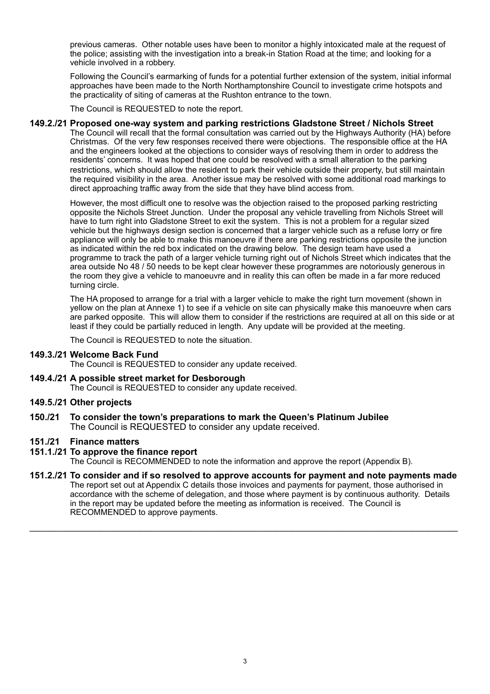previous cameras. Other notable uses have been to monitor a highly intoxicated male at the request of the police; assisting with the investigation into a break-in Station Road at the time; and looking for a vehicle involved in a robbery.

Following the Council's earmarking of funds for a potential further extension of the system, initial informal approaches have been made to the North Northamptonshire Council to investigate crime hotspots and the practicality of siting of cameras at the Rushton entrance to the town.

The Council is REQUESTED to note the report.

## **149.2./21 Proposed one-way system and parking restrictions Gladstone Street / Nichols Street**

The Council will recall that the formal consultation was carried out by the Highways Authority (HA) before Christmas. Of the very few responses received there were objections. The responsible office at the HA and the engineers looked at the objections to consider ways of resolving them in order to address the residents' concerns. It was hoped that one could be resolved with a small alteration to the parking restrictions, which should allow the resident to park their vehicle outside their property, but still maintain the required visibility in the area. Another issue may be resolved with some additional road markings to direct approaching traffic away from the side that they have blind access from.

However, the most difficult one to resolve was the objection raised to the proposed parking restricting opposite the Nichols Street Junction. Under the proposal any vehicle travelling from Nichols Street will have to turn right into Gladstone Street to exit the system. This is not a problem for a regular sized vehicle but the highways design section is concerned that a larger vehicle such as a refuse lorry or fire appliance will only be able to make this manoeuvre if there are parking restrictions opposite the junction as indicated within the red box indicated on the drawing below. The design team have used a programme to track the path of a larger vehicle turning right out of Nichols Street which indicates that the area outside No 48 / 50 needs to be kept clear however these programmes are notoriously generous in the room they give a vehicle to manoeuvre and in reality this can often be made in a far more reduced turning circle.

The HA proposed to arrange for a trial with a larger vehicle to make the right turn movement (shown in yellow on the plan at Annexe 1) to see if a vehicle on site can physically make this manoeuvre when cars are parked opposite. This will allow them to consider if the restrictions are required at all on this side or at least if they could be partially reduced in length. Any update will be provided at the meeting.

The Council is REQUESTED to note the situation.

#### **149.3./21 Welcome Back Fund**

The Council is REQUESTED to consider any update received.

#### **149.4./21 A possible street market for Desborough**

The Council is REQUESTED to consider any update received.

#### **149.5./21 Other projects**

**150./21 To consider the town's preparations to mark the Queen's Platinum Jubilee** The Council is REQUESTED to consider any update received.

#### **151./21 Finance matters**

#### **151.1./21 To approve the finance report**

The Council is RECOMMENDED to note the information and approve the report (Appendix B).

**151.2./21 To consider and if so resolved to approve accounts for payment and note payments made** The report set out at Appendix C details those invoices and payments for payment, those authorised in accordance with the scheme of delegation, and those where payment is by continuous authority. Details in the report may be updated before the meeting as information is received. The Council is RECOMMENDED to approve payments.

 $\_$  ,  $\_$  ,  $\_$  ,  $\_$  ,  $\_$  ,  $\_$  ,  $\_$  ,  $\_$  ,  $\_$  ,  $\_$  ,  $\_$  ,  $\_$  ,  $\_$  ,  $\_$  ,  $\_$  ,  $\_$  ,  $\_$  ,  $\_$  ,  $\_$  ,  $\_$  ,  $\_$  ,  $\_$  ,  $\_$  ,  $\_$  ,  $\_$  ,  $\_$  ,  $\_$  ,  $\_$  ,  $\_$  ,  $\_$  ,  $\_$  ,  $\_$  ,  $\_$  ,  $\_$  ,  $\_$  ,  $\_$  ,  $\_$  ,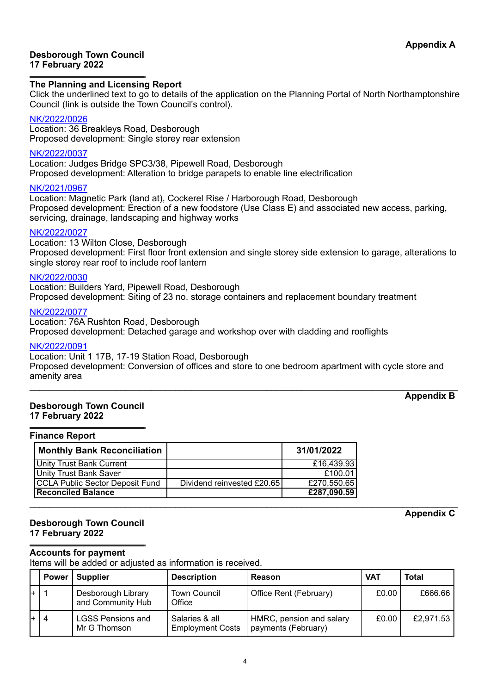## **Desborough Town Council 17 February 2022**

## **The Planning and Licensing Report**

Click the underlined text to go to details of the application on the Planning Portal of North Northamptonshire Council (link is outside the Town Council's control).

## [NK/2022/0026](https://www.kettering.gov.uk/planningApplication/131580)

Location: 36 Breakleys Road, Desborough Proposed development: Single storey rear extension

## [NK/2022/0037](https://www.kettering.gov.uk/planningApplication/131582)

Location: Judges Bridge SPC3/38, Pipewell Road, Desborough Proposed development: Alteration to bridge parapets to enable line electrification

## [NK/2021/0967](https://www.kettering.gov.uk/planningApplication/131574)

Location: Magnetic Park (land at), Cockerel Rise / Harborough Road, Desborough Proposed development: Erection of a new foodstore (Use Class E) and associated new access, parking, servicing, drainage, landscaping and highway works

## [NK/2022/0027](https://www.kettering.gov.uk/planningApplication/131602)

Location: 13 Wilton Close, Desborough Proposed development: First floor front extension and single storey side extension to garage, alterations to single storey rear roof to include roof lantern

## [NK/2022/0030](https://www.kettering.gov.uk/planningApplication/131603)

Location: Builders Yard, Pipewell Road, Desborough Proposed development: Siting of 23 no. storage containers and replacement boundary treatment

## [NK/2022/0077](https://www.kettering.gov.uk/planningApplication/131634)

Location: 76A Rushton Road, Desborough Proposed development: Detached garage and workshop over with cladding and rooflights

## [NK/2022/0091](https://www.kettering.gov.uk/planningApplication/131622)

Location: Unit 1 17B, 17-19 Station Road, Desborough Proposed development: Conversion of offices and store to one bedroom apartment with cycle store and amenity area

 $\_$  , and the set of the set of the set of the set of the set of the set of the set of the set of the set of the set of the set of the set of the set of the set of the set of the set of the set of the set of the set of th

## **Desborough Town Council 17 February 2022**

#### **Finance Report**

| <b>Monthly Bank Reconciliation</b> |                            | 31/01/2022  |
|------------------------------------|----------------------------|-------------|
| <b>Unity Trust Bank Current</b>    |                            | £16,439.93  |
| <b>Unity Trust Bank Saver</b>      |                            | £100.01     |
| CCLA Public Sector Deposit Fund    | Dividend reinvested £20.65 | £270,550.65 |
| <b>Reconciled Balance</b>          |                            | £287,090.59 |

# **Desborough Town Council 17 February 2022**

#### **Accounts for payment**

Items will be added or adjusted as information is received.

|     | <b>Power</b> | Supplier                                 | <b>Description</b>                        | Reason                                          | <b>VAT</b> | <b>Total</b> |
|-----|--------------|------------------------------------------|-------------------------------------------|-------------------------------------------------|------------|--------------|
| I+. |              | Desborough Library<br>and Community Hub  | <b>Town Council</b><br>Office             | Office Rent (February)                          | £0.00      | £666.66      |
|     | l+ 14        | <b>LGSS Pensions and</b><br>Mr G Thomson | Salaries & all<br><b>Employment Costs</b> | HMRC, pension and salary<br>payments (February) | £0.00      | £2,971.53    |

#### \_\_\_\_\_\_\_\_\_\_\_\_\_\_\_\_\_\_\_\_\_\_\_\_\_\_\_\_\_\_\_\_\_\_\_\_\_\_\_\_\_\_\_\_\_\_\_\_\_\_\_\_\_\_\_\_\_\_\_\_\_\_\_\_\_\_\_\_\_\_\_\_\_\_\_\_\_\_\_\_\_\_\_\_\_ **Appendix C**

**Appendix B**